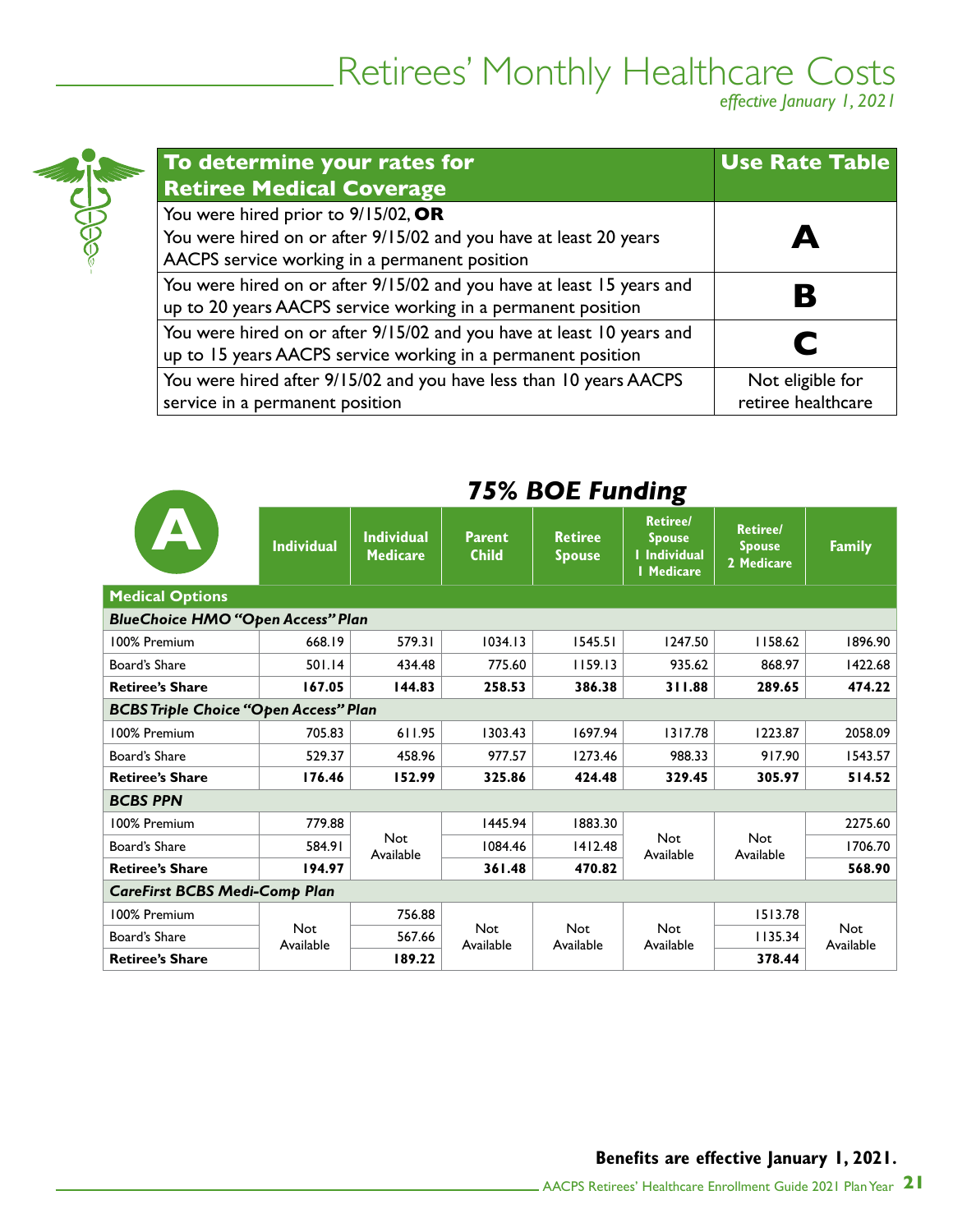# Retirees' Monthly Healthcare Costs

*effective January 1, 2021*

| To determine your rates for<br><b>Retiree Medical Coverage</b>                                                                                            | <b>Use Rate Table</b>                  |
|-----------------------------------------------------------------------------------------------------------------------------------------------------------|----------------------------------------|
| You were hired prior to 9/15/02, OR<br>You were hired on or after 9/15/02 and you have at least 20 years<br>AACPS service working in a permanent position |                                        |
| You were hired on or after 9/15/02 and you have at least 15 years and<br>up to 20 years AACPS service working in a permanent position                     |                                        |
| You were hired on or after 9/15/02 and you have at least 10 years and<br>up to 15 years AACPS service working in a permanent position                     |                                        |
| You were hired after 9/15/02 and you have less than 10 years AACPS<br>service in a permanent position                                                     | Not eligible for<br>retiree healthcare |

**SECENT** 

|                                              |                   | $13\%$ DUL FUNDING                   |                               |                                 |                                                                              |                                                |                         |  |  |
|----------------------------------------------|-------------------|--------------------------------------|-------------------------------|---------------------------------|------------------------------------------------------------------------------|------------------------------------------------|-------------------------|--|--|
|                                              | <b>Individual</b> | <b>Individual</b><br><b>Medicare</b> | <b>Parent</b><br><b>Child</b> | <b>Retiree</b><br><b>Spouse</b> | <b>Retiree/</b><br><b>Spouse</b><br><b>I</b> Individual<br><b>I</b> Medicare | <b>Retiree/</b><br><b>Spouse</b><br>2 Medicare | <b>Family</b>           |  |  |
| <b>Medical Options</b>                       |                   |                                      |                               |                                 |                                                                              |                                                |                         |  |  |
| <b>BlueChoice HMO "Open Access" Plan</b>     |                   |                                      |                               |                                 |                                                                              |                                                |                         |  |  |
| 100% Premium                                 | 668.19            | 579.31                               | 1034.13                       | 1545.51                         | 1247.50                                                                      | 1158.62                                        | 1896.90                 |  |  |
| Board's Share                                | 501.14            | 434.48                               | 775.60                        | 1159.13                         | 935.62                                                                       | 868.97                                         | 1422.68                 |  |  |
| <b>Retiree's Share</b>                       | 167.05            | 144.83                               | 258.53                        | 386.38                          | 311.88                                                                       | 289.65                                         | 474.22                  |  |  |
| <b>BCBS Triple Choice "Open Access" Plan</b> |                   |                                      |                               |                                 |                                                                              |                                                |                         |  |  |
| 100% Premium                                 | 705.83            | 611.95                               | 1303.43                       | 1697.94                         | 1317.78                                                                      | 1223.87                                        | 2058.09                 |  |  |
| Board's Share                                | 529.37            | 458.96                               | 977.57                        | 1273.46                         | 988.33                                                                       | 917.90                                         | 1543.57                 |  |  |
| <b>Retiree's Share</b>                       | 176.46            | 152.99                               | 325.86                        | 424.48                          | 329.45                                                                       | 305.97                                         | 514.52                  |  |  |
| <b>BCBS PPN</b>                              |                   |                                      |                               |                                 |                                                                              |                                                |                         |  |  |
| 100% Premium                                 | 779.88            |                                      | 1445.94                       | 1883.30                         |                                                                              |                                                | 2275.60                 |  |  |
| Board's Share                                | 584.91            | <b>Not</b><br>Available              | 1084.46                       | 1412.48                         | Not<br>Available                                                             | <b>Not</b><br>Available                        | 1706.70                 |  |  |
| <b>Retiree's Share</b>                       | 194.97            |                                      | 361.48                        | 470.82                          |                                                                              |                                                | 568.90                  |  |  |
| <b>CareFirst BCBS Medi-Comp Plan</b>         |                   |                                      |                               |                                 |                                                                              |                                                |                         |  |  |
| 100% Premium                                 |                   | 756.88                               |                               |                                 |                                                                              | 1513.78                                        |                         |  |  |
| Board's Share                                | Not<br>Available  | 567.66                               | Not<br>Available              | <b>Not</b><br>Available         | <b>Not</b><br>Available                                                      | 1135.34                                        | <b>Not</b><br>Available |  |  |
| <b>Retiree's Share</b>                       |                   | 189.22                               |                               |                                 |                                                                              | 378.44                                         |                         |  |  |

### *75% BOE Funding*

#### **Benefits are effective January 1, 2021.**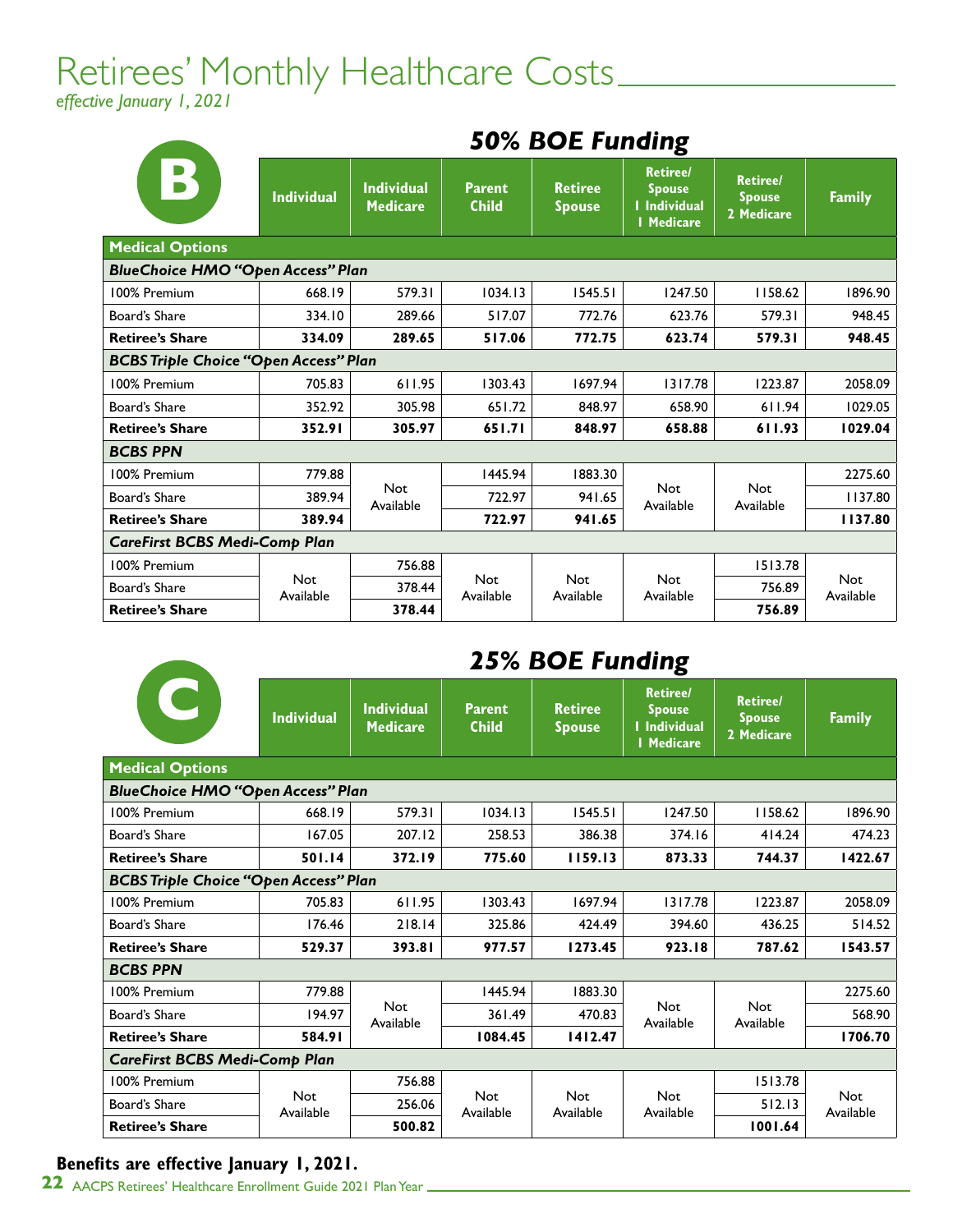# Retirees' Monthly Healthcare Costs\_\_\_\_\_\_\_\_\_\_\_\_\_\_\_

*effective January 1, 2021*

|                                              | <b><i>SUM DUE FUNDING</i></b> |                                      |                               |                                 |                                                                              |                                                |                  |
|----------------------------------------------|-------------------------------|--------------------------------------|-------------------------------|---------------------------------|------------------------------------------------------------------------------|------------------------------------------------|------------------|
| $ \mathbf{B} $                               | <b>Individual</b>             | <b>Individual</b><br><b>Medicare</b> | <b>Parent</b><br><b>Child</b> | <b>Retiree</b><br><b>Spouse</b> | <b>Retiree/</b><br><b>Spouse</b><br><b>I</b> Individual<br><b>I</b> Medicare | <b>Retiree/</b><br><b>Spouse</b><br>2 Medicare | <b>Family</b>    |
| <b>Medical Options</b>                       |                               |                                      |                               |                                 |                                                                              |                                                |                  |
| <b>BlueChoice HMO "Open Access" Plan</b>     |                               |                                      |                               |                                 |                                                                              |                                                |                  |
| 100% Premium                                 | 668.19                        | 579.31                               | 1034.13                       | 1545.51                         | 1247.50                                                                      | 1158.62                                        | 1896.90          |
| Board's Share                                | 334.10                        | 289.66                               | 517.07                        | 772.76                          | 623.76                                                                       | 579.31                                         | 948.45           |
| <b>Retiree's Share</b>                       | 334.09                        | 289.65                               | 517.06                        | 772.75                          | 623.74                                                                       | 579.31                                         | 948.45           |
| <b>BCBS Triple Choice "Open Access" Plan</b> |                               |                                      |                               |                                 |                                                                              |                                                |                  |
| 100% Premium                                 | 705.83                        | 611.95                               | 1303.43                       | 1697.94                         | 1317.78                                                                      | 1223.87                                        | 2058.09          |
| Board's Share                                | 352.92                        | 305.98                               | 651.72                        | 848.97                          | 658.90                                                                       | 611.94                                         | 1029.05          |
| <b>Retiree's Share</b>                       | 352.91                        | 305.97                               | 651.71                        | 848.97                          | 658.88                                                                       | 611.93                                         | 1029.04          |
| <b>BCBS PPN</b>                              |                               |                                      |                               |                                 |                                                                              |                                                |                  |
| 100% Premium                                 | 779.88                        |                                      | 1445.94                       | 1883.30                         |                                                                              |                                                | 2275.60          |
| Board's Share                                | 389.94                        | <b>Not</b><br>Available              | 722.97                        | 941.65                          | Not<br>Available                                                             | <b>Not</b><br>Available                        | 1137.80          |
| <b>Retiree's Share</b>                       | 389.94                        |                                      | 722.97                        | 941.65                          |                                                                              |                                                | 1137.80          |
| <b>CareFirst BCBS Medi-Comp Plan</b>         |                               |                                      |                               |                                 |                                                                              |                                                |                  |
| 100% Premium                                 |                               | 756.88                               |                               |                                 |                                                                              | 1513.78                                        |                  |
| Board's Share                                | <b>Not</b><br>Available       | 378.44                               | <b>Not</b><br>Available       | <b>Not</b><br>Available         | <b>Not</b><br>Available                                                      | 756.89                                         | Not<br>Available |
| <b>Retiree's Share</b>                       |                               | 378.44                               |                               |                                 |                                                                              | 756.89                                         |                  |

### *50% BOE Funding*

### *25% BOE Funding*

|                                              | <b>Individual</b>       | <b>Individual</b><br><b>Medicare</b> | <b>Parent</b><br><b>Child</b> | <b>Retiree</b><br><b>Spouse</b> | <b>Retiree/</b><br><b>Spouse</b><br>I Individual<br><b>I</b> Medicare | <b>Retiree/</b><br><b>Spouse</b><br>2 Medicare | <b>Family</b>           |
|----------------------------------------------|-------------------------|--------------------------------------|-------------------------------|---------------------------------|-----------------------------------------------------------------------|------------------------------------------------|-------------------------|
| <b>Medical Options</b>                       |                         |                                      |                               |                                 |                                                                       |                                                |                         |
| <b>BlueChoice HMO "Open Access" Plan</b>     |                         |                                      |                               |                                 |                                                                       |                                                |                         |
| 100% Premium                                 | 668.19                  | 579.31                               | 1034.13                       | 1545.51                         | 1247.50                                                               | 1158.62                                        | 1896.90                 |
| Board's Share                                | 167.05                  | 207.12                               | 258.53                        | 386.38                          | 374.16                                                                | 414.24                                         | 474.23                  |
| <b>Retiree's Share</b>                       | 501.14                  | 372.19                               | 775.60                        | 1159.13                         | 873.33                                                                | 744.37                                         | 1422.67                 |
| <b>BCBS Triple Choice "Open Access" Plan</b> |                         |                                      |                               |                                 |                                                                       |                                                |                         |
| 100% Premium                                 | 705.83                  | 611.95                               | 1303.43                       | 1697.94                         | 1317.78                                                               | 1223.87                                        | 2058.09                 |
| Board's Share                                | 176.46                  | 218.14                               | 325.86                        | 424.49                          | 394.60                                                                | 436.25                                         | 514.52                  |
| <b>Retiree's Share</b>                       | 529.37                  | 393.81                               | 977.57                        | 1273.45                         | 923.18                                                                | 787.62                                         | 1543.57                 |
| <b>BCBS PPN</b>                              |                         |                                      |                               |                                 |                                                                       |                                                |                         |
| 100% Premium                                 | 779.88                  |                                      | 1445.94                       | 1883.30                         |                                                                       |                                                | 2275.60                 |
| Board's Share                                | 194.97                  | <b>Not</b><br>Available              | 361.49                        | 470.83                          | <b>Not</b><br>Available                                               | <b>Not</b><br>Available                        | 568.90                  |
| <b>Retiree's Share</b>                       | 584.91                  |                                      | 1084.45                       | 1412.47                         |                                                                       |                                                | 1706.70                 |
| <b>CareFirst BCBS Medi-Comp Plan</b>         |                         |                                      |                               |                                 |                                                                       |                                                |                         |
| 100% Premium                                 |                         | 756.88                               |                               |                                 |                                                                       | 1513.78                                        |                         |
| Board's Share                                | <b>Not</b><br>Available | 256.06                               | <b>Not</b><br>Available       | Not<br>Available                | <b>Not</b><br>Available                                               | 512.13                                         | <b>Not</b><br>Available |
| <b>Retiree's Share</b>                       |                         | 500.82                               |                               |                                 |                                                                       | 1001.64                                        |                         |

#### **Benefits are effective January 1, 2021.**

**CONTRACTOR** 

**22** AACPS Retirees' Healthcare Enrollment Guide 2021 Plan Year